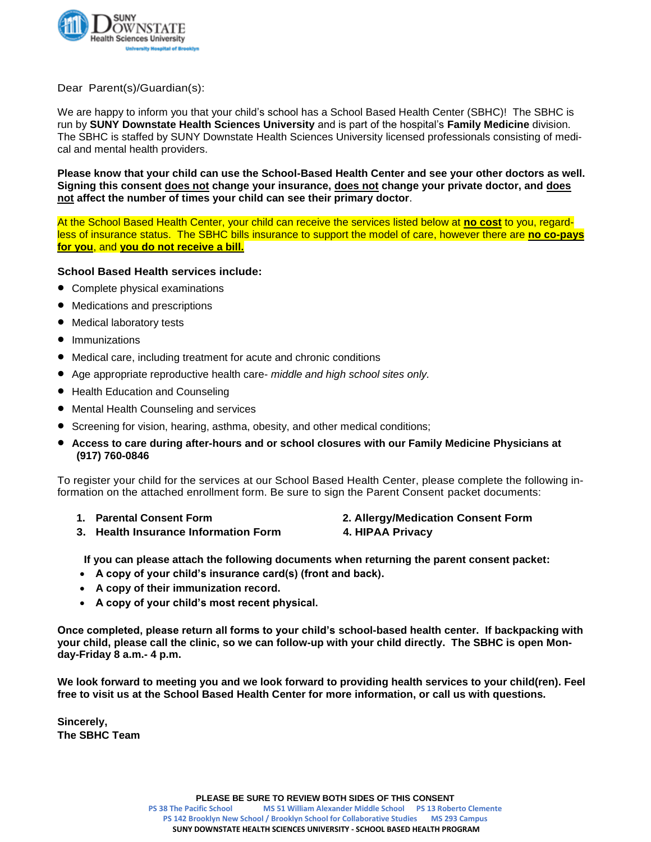

Dear Parent(s)/Guardian(s):

We are happy to inform you that your child's school has a School Based Health Center (SBHC)! The SBHC is run by **SUNY Downstate Health Sciences University** and is part of the hospital's **Family Medicine** division. The SBHC is staffed by SUNY Downstate Health Sciences University licensed professionals consisting of medical and mental health providers.

**Please know that your child can use the School-Based Health Center and see your other doctors as well. Signing this consent does not change your insurance, does not change your private doctor, and does not affect the number of times your child can see their primary doctor**.

At the School Based Health Center, your child can receive the services listed below at **no cost** to you, regardless of insurance status. The SBHC bills insurance to support the model of care, however there are **no co-pays for you**, and **you do not receive a bill.** 

# **School Based Health services include:**

- Complete physical examinations
- Medications and prescriptions
- Medical laboratory tests
- **Immunizations**
- Medical care, including treatment for acute and chronic conditions
- Age appropriate reproductive health care- *middle and high school sites only.*
- Health Education and Counseling
- Mental Health Counseling and services
- Screening for vision, hearing, asthma, obesity, and other medical conditions;
- **Access to care during after-hours and or school closures with our Family Medicine Physicians at (917) 760-0846**

To register your child for the services at our School Based Health Center, please complete the following information on the attached enrollment form. Be sure to sign the Parent Consent packet documents:

- 
- **1. Parental Consent Form 2. Allergy/Medication Consent Form 3. Health Insurance Information Form 4. HIPAA Privacy**
- **If you can please attach the following documents when returning the parent consent packet:**
- **A copy of your child's insurance card(s) (front and back).**
- **A copy of their immunization record.**
- **A copy of your child's most recent physical.**

**Once completed, please return all forms to your child's school-based health center. If backpacking with your child, please call the clinic, so we can follow-up with your child directly. The SBHC is open Monday-Friday 8 a.m.- 4 p.m.** 

**We look forward to meeting you and we look forward to providing health services to your child(ren). Feel free to visit us at the School Based Health Center for more information, or call us with questions.** 

**Sincerely, The SBHC Team**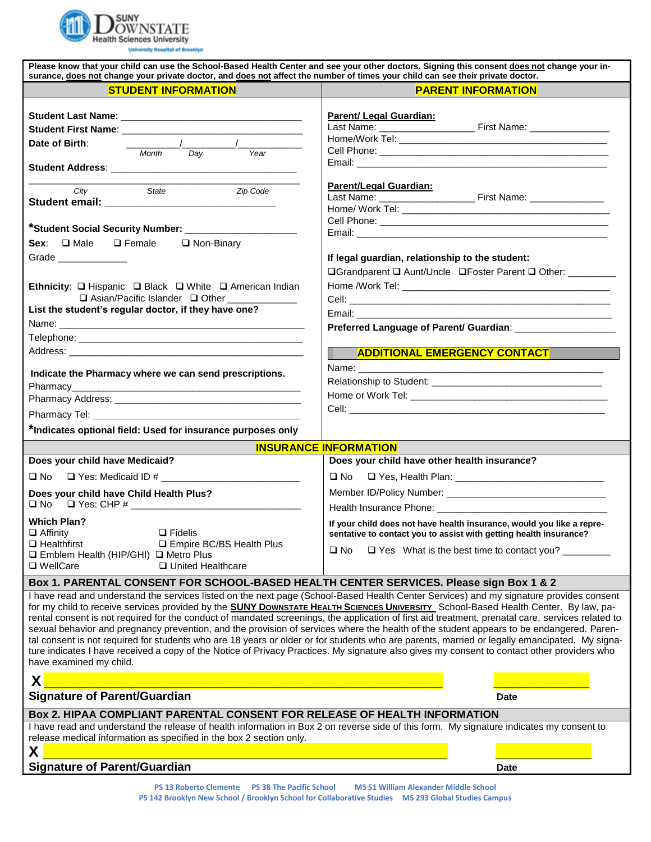

| Please know that your child can use the School-Based Health Center and see your other doctors. Signing this consent does not change your in-<br>surance, does not change your private doctor, and does not affect the number of times your child can see their private doctor.                                                                                                                                                                                                                                                                                                                                                                                                                                                                                                                                                                                                                                   |                                                                                                                                                                                                        |  |
|------------------------------------------------------------------------------------------------------------------------------------------------------------------------------------------------------------------------------------------------------------------------------------------------------------------------------------------------------------------------------------------------------------------------------------------------------------------------------------------------------------------------------------------------------------------------------------------------------------------------------------------------------------------------------------------------------------------------------------------------------------------------------------------------------------------------------------------------------------------------------------------------------------------|--------------------------------------------------------------------------------------------------------------------------------------------------------------------------------------------------------|--|
| <b>STUDENT INFORMATION</b>                                                                                                                                                                                                                                                                                                                                                                                                                                                                                                                                                                                                                                                                                                                                                                                                                                                                                       | <b>PARENT INFORMATION</b>                                                                                                                                                                              |  |
| $\frac{1}{2}$ and $\frac{1}{2}$ and $\frac{1}{2}$ and $\frac{1}{2}$ and $\frac{1}{2}$ and $\frac{1}{2}$ and $\frac{1}{2}$ and $\frac{1}{2}$ and $\frac{1}{2}$ and $\frac{1}{2}$ and $\frac{1}{2}$ and $\frac{1}{2}$ and $\frac{1}{2}$ and $\frac{1}{2}$ and $\frac{1}{2}$ and $\frac{1}{2}$ a<br>Date of Birth:<br><b>Month</b><br>Year<br>Day                                                                                                                                                                                                                                                                                                                                                                                                                                                                                                                                                                   | Parent/ Legal Guardian:                                                                                                                                                                                |  |
| City<br>Zip Code<br>State<br>*Student Social Security Number: _____________                                                                                                                                                                                                                                                                                                                                                                                                                                                                                                                                                                                                                                                                                                                                                                                                                                      | <b>Parent/Legal Guardian:</b>                                                                                                                                                                          |  |
| Sex: □ Male □ Female □ Non-Binary<br>Grade _______________<br>Ethnicity: Q Hispanic Q Black Q White Q American Indian                                                                                                                                                                                                                                                                                                                                                                                                                                                                                                                                                                                                                                                                                                                                                                                            | If legal guardian, relationship to the student:<br>□Grandparent □ Aunt/Uncle □Foster Parent □ Other: ________                                                                                          |  |
| $\Box$ Asian/Pacific Islander $\Box$ Other<br>List the student's regular doctor, if they have one?<br>Telephone: New York State State State State State State State State State State State State State State State State State State State State State State State State State State State State State State State State State Stat                                                                                                                                                                                                                                                                                                                                                                                                                                                                                                                                                                             |                                                                                                                                                                                                        |  |
| Indicate the Pharmacy where we can send prescriptions.<br>*Indicates optional field: Used for insurance purposes only                                                                                                                                                                                                                                                                                                                                                                                                                                                                                                                                                                                                                                                                                                                                                                                            | <b>ADDITIONAL EMERGENCY CONTACT</b>                                                                                                                                                                    |  |
|                                                                                                                                                                                                                                                                                                                                                                                                                                                                                                                                                                                                                                                                                                                                                                                                                                                                                                                  | <b>INSURANCE INFORMATION</b>                                                                                                                                                                           |  |
| Does your child have Medicaid?<br>□ No<br>Does your child have Child Health Plus?                                                                                                                                                                                                                                                                                                                                                                                                                                                                                                                                                                                                                                                                                                                                                                                                                                | Does your child have other health insurance?                                                                                                                                                           |  |
| <b>Which Plan?</b><br>$\Box$ Affinity<br>$\Box$ Fidelis<br><b>Q Empire BC/BS Health Plus</b><br>$\Box$ Healthfirst<br>$\Box$ Emblem Health (HIP/GHI) $\Box$ Metro Plus<br>□ WellCare<br>□ United Healthcare                                                                                                                                                                                                                                                                                                                                                                                                                                                                                                                                                                                                                                                                                                      | If your child does not have health insurance, would you like a repre-<br>sentative to contact you to assist with getting health insurance?<br>$\Box$ Yes What is the best time to contact you?<br>⊔ No |  |
| Box 1. PARENTAL CONSENT FOR SCHOOL-BASED HEALTH CENTER SERVICES. Please sign Box 1 & 2                                                                                                                                                                                                                                                                                                                                                                                                                                                                                                                                                                                                                                                                                                                                                                                                                           |                                                                                                                                                                                                        |  |
| I have read and understand the services listed on the next page (School-Based Health Center Services) and my signature provides consent<br>for my child to receive services provided by the <b>SUNY Downstate HEALTH SCIENCES UNIVERSITY</b> School-Based Health Center. By law, pa-<br>rental consent is not required for the conduct of mandated screenings, the application of first aid treatment, prenatal care, services related to<br>sexual behavior and pregnancy prevention, and the provision of services where the health of the student appears to be endangered. Paren-<br>tal consent is not required for students who are 18 years or older or for students who are parents, married or legally emancipated. My signa-<br>ture indicates I have received a copy of the Notice of Privacy Practices. My signature also gives my consent to contact other providers who<br>have examined my child. |                                                                                                                                                                                                        |  |
| X                                                                                                                                                                                                                                                                                                                                                                                                                                                                                                                                                                                                                                                                                                                                                                                                                                                                                                                |                                                                                                                                                                                                        |  |
| <b>Signature of Parent/Guardian</b><br><b>Date</b>                                                                                                                                                                                                                                                                                                                                                                                                                                                                                                                                                                                                                                                                                                                                                                                                                                                               |                                                                                                                                                                                                        |  |
| Box 2. HIPAA COMPLIANT PARENTAL CONSENT FOR RELEASE OF HEALTH INFORMATION<br>I have read and understand the release of health information in Box 2 on reverse side of this form. My signature indicates my consent to<br>release medical information as specified in the box 2 section only.                                                                                                                                                                                                                                                                                                                                                                                                                                                                                                                                                                                                                     |                                                                                                                                                                                                        |  |

# **X** \_\_\_\_\_\_\_\_\_\_\_\_\_\_\_\_\_\_\_\_\_\_\_\_\_\_\_\_\_\_\_\_\_\_\_\_\_\_\_\_\_\_\_\_\_\_\_\_\_\_\_\_\_\_\_\_\_\_\_\_\_\_\_\_\_\_\_\_\_\_\_\_\_\_\_\_ \_\_\_\_\_\_\_\_\_\_\_\_\_\_\_\_\_\_ **Signature of Parent/Guardian**<br>
Date

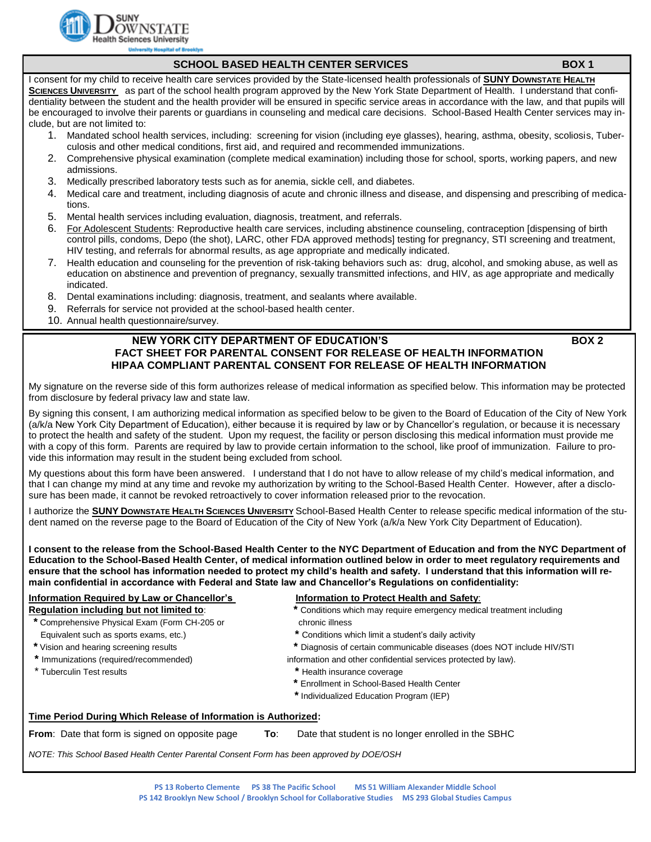

#### **SCHOOL BASED HEALTH CENTER SERVICES BOX 1**

I consent for my child to receive health care services provided by the State-licensed health professionals of **SUNY DOWNSTATE HEALTH SCIENCES UNIVERSITY** as part of the school health program approved by the New York State Department of Health. I understand that confidentiality between the student and the health provider will be ensured in specific service areas in accordance with the law, and that pupils will be encouraged to involve their parents or guardians in counseling and medical care decisions. School-Based Health Center services may include, but are not limited to:

- 1. Mandated school health services, including: screening for vision (including eye glasses), hearing, asthma, obesity, scoliosis, Tuberculosis and other medical conditions, first aid, and required and recommended immunizations.
- 2. Comprehensive physical examination (complete medical examination) including those for school, sports, working papers, and new admissions.
- 3. Medically prescribed laboratory tests such as for anemia, sickle cell, and diabetes.

- 4. Medical care and treatment, including diagnosis of acute and chronic illness and disease, and dispensing and prescribing of medications.
- 5. Mental health services including evaluation, diagnosis, treatment, and referrals.
- 6. For Adolescent Students: Reproductive health care services, including abstinence counseling, contraception [dispensing of birth control pills, condoms, Depo (the shot), LARC, other FDA approved methods] testing for pregnancy, STI screening and treatment, HIV testing, and referrals for abnormal results, as age appropriate and medically indicated.
- 7. Health education and counseling for the prevention of risk-taking behaviors such as: drug, alcohol, and smoking abuse, as well as education on abstinence and prevention of pregnancy, sexually transmitted infections, and HIV, as age appropriate and medically indicated.
- 8. Dental examinations including: diagnosis, treatment, and sealants where available.
- 9. Referrals for service not provided at the school-based health center.
- 10. Annual health questionnaire/survey.

# **NEW YORK CITY DEPARTMENT OF EDUCATION'S BOX 2 FACT SHEET FOR PARENTAL CONSENT FOR RELEASE OF HEALTH INFORMATION HIPAA COMPLIANT PARENTAL CONSENT FOR RELEASE OF HEALTH INFORMATION**

My signature on the reverse side of this form authorizes release of medical information as specified below. This information may be protected from disclosure by federal privacy law and state law.

By signing this consent, I am authorizing medical information as specified below to be given to the Board of Education of the City of New York (a/k/a New York City Department of Education), either because it is required by law or by Chancellor's regulation, or because it is necessary to protect the health and safety of the student. Upon my request, the facility or person disclosing this medical information must provide me with a copy of this form. Parents are required by law to provide certain information to the school, like proof of immunization. Failure to provide this information may result in the student being excluded from school.

My questions about this form have been answered. I understand that I do not have to allow release of my child's medical information, and that I can change my mind at any time and revoke my authorization by writing to the School-Based Health Center. However, after a disclosure has been made, it cannot be revoked retroactively to cover information released prior to the revocation.

I authorize the **SUNY DOWNSTATE HEALTH SCIENCES UNIVERSITY** School-Based Health Center to release specific medical information of the student named on the reverse page to the Board of Education of the City of New York (a/k/a New York City Department of Education).

**I consent to the release from the School-Based Health Center to the NYC Department of Education and from the NYC Department of Education to the School-Based Health Center, of medical information outlined below in order to meet regulatory requirements and ensure that the school has information needed to protect my child's health and safety. I understand that this information will remain confidential in accordance with Federal and State law and Chancellor's Regulations on confidentiality:**

# **Information Required by Law or Chancellor's The Information to Protect Health and Safety:**

- **\*** Comprehensive Physical Exam (Form CH-205 or chronic illness Equivalent such as sports exams, etc.) **\*** Conditions which limit a student's daily activity
- 
- 
- 
- 
- **Regulation including but not limited to: \*** Conditions which may require emergency medical treatment including
	-
- **\*** Vision and hearing screening results **\*** Diagnosis of certain communicable diseases (does NOT include HIV/STI
- **\*** Immunizations (required/recommended) information and other confidential services protected by law).
- \* Tuberculin Test results **\*** Health insurance coverage
	- **\*** Enrollment in School-Based Health Center
	- **\*** Individualized Education Program (IEP)

#### **Time Period During Which Release of Information is Authorized:**

**From**: Date that form is signed on opposite page **To:** Date that student is no longer enrolled in the SBHC

*NOTE: This School Based Health Center Parental Consent Form has been approved by DOE/OSH*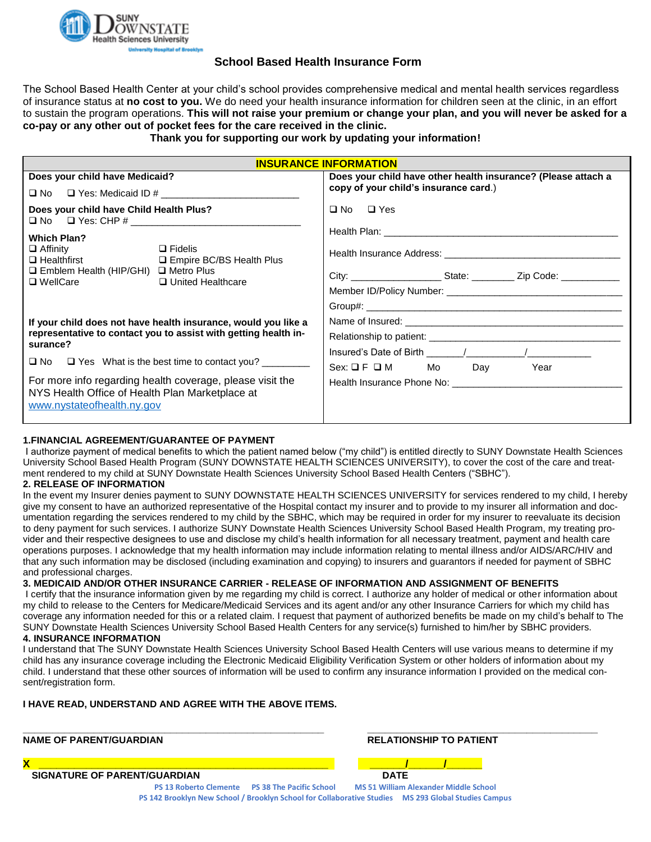

# **School Based Health Insurance Form**

The School Based Health Center at your child's school provides comprehensive medical and mental health services regardless of insurance status at **no cost to you.** We do need your health insurance information for children seen at the clinic, in an effort to sustain the program operations. **This will not raise your premium or change your plan, and you will never be asked for a co-pay or any other out of pocket fees for the care received in the clinic.**

# **Thank you for supporting our work by updating your information!**

| <b>INSURANCE INFORMATION</b>                                                                                                                                                                                                                                                                                                                              |                                                                                  |  |
|-----------------------------------------------------------------------------------------------------------------------------------------------------------------------------------------------------------------------------------------------------------------------------------------------------------------------------------------------------------|----------------------------------------------------------------------------------|--|
| Does your child have Medicaid?                                                                                                                                                                                                                                                                                                                            | Does your child have other health insurance? (Please attach a                    |  |
| $\Box$ No $\Box$ Yes: Medicaid ID #                                                                                                                                                                                                                                                                                                                       | copy of your child's insurance card.)                                            |  |
| Does your child have Child Health Plus?                                                                                                                                                                                                                                                                                                                   | $\Box$ No $\Box$ Yes                                                             |  |
| <b>Which Plan?</b><br>$\Box$ Affinity<br>$\Box$ Fidelis<br>□ Healthfirst □ Empire BC/BS Health Plus<br>$\Box$ Emblem Health (HIP/GHI) $\Box$ Metro Plus<br>$\Box$ WellCare<br>□ United Healthcare                                                                                                                                                         | City: ___________________________State: _____________ Zip Code: ________________ |  |
| If your child does not have health insurance, would you like a<br>representative to contact you to assist with getting health in-<br>surance?<br>$\Box$ No $\Box$ Yes What is the best time to contact you?<br>For more info regarding health coverage, please visit the<br>NYS Health Office of Health Plan Marketplace at<br>www.nystateofhealth.ny.gov | $Sex: \Box F \Box M$ Mo Day<br>Year                                              |  |

#### **1.FINANCIAL AGREEMENT/GUARANTEE OF PAYMENT**

I authorize payment of medical benefits to which the patient named below ("my child") is entitled directly to SUNY Downstate Health Sciences University School Based Health Program (SUNY DOWNSTATE HEALTH SCIENCES UNIVERSITY), to cover the cost of the care and treatment rendered to my child at SUNY Downstate Health Sciences University School Based Health Centers ("SBHC").

#### **2. RELEASE OF INFORMATION**

In the event my Insurer denies payment to SUNY DOWNSTATE HEALTH SCIENCES UNIVERSITY for services rendered to my child, I hereby give my consent to have an authorized representative of the Hospital contact my insurer and to provide to my insurer all information and documentation regarding the services rendered to my child by the SBHC, which may be required in order for my insurer to reevaluate its decision to deny payment for such services. I authorize SUNY Downstate Health Sciences University School Based Health Program, my treating provider and their respective designees to use and disclose my child's health information for all necessary treatment, payment and health care operations purposes. I acknowledge that my health information may include information relating to mental illness and/or AIDS/ARC/HIV and that any such information may be disclosed (including examination and copying) to insurers and guarantors if needed for payment of SBHC and professional charges.

#### **3. MEDICAID AND/OR OTHER INSURANCE CARRIER - RELEASE OF INFORMATION AND ASSIGNMENT OF BENEFITS**

I certify that the insurance information given by me regarding my child is correct. I authorize any holder of medical or other information about my child to release to the Centers for Medicare/Medicaid Services and its agent and/or any other Insurance Carriers for which my child has coverage any information needed for this or a related claim. I request that payment of authorized benefits be made on my child's behalf to The SUNY Downstate Health Sciences University School Based Health Centers for any service(s) furnished to him/her by SBHC providers. **4. INSURANCE INFORMATION**

I understand that The SUNY Downstate Health Sciences University School Based Health Centers will use various means to determine if my child has any insurance coverage including the Electronic Medicaid Eligibility Verification System or other holders of information about my child. I understand that these other sources of information will be used to confirm any insurance information I provided on the medical consent/registration form.

#### **I HAVE READ, UNDERSTAND AND AGREE WITH THE ABOVE ITEMS.**

**\_\_\_\_\_\_\_\_\_\_\_\_\_\_\_\_\_\_\_\_\_\_\_\_\_\_\_\_\_\_\_\_\_\_\_\_\_\_\_\_\_\_\_\_\_\_\_\_\_\_\_ \_\_\_\_\_\_\_\_\_\_\_\_\_\_\_\_\_\_\_\_\_\_\_\_\_\_\_\_\_\_\_\_\_\_\_\_\_\_\_ NAME OF PARENT/GUARDIAN RELATIONSHIP TO PATIENT**

**X \_\_\_\_\_\_\_\_\_\_\_\_\_\_\_\_\_\_\_\_\_\_\_\_\_\_\_\_\_\_\_\_\_\_\_\_\_\_\_\_\_\_\_\_\_\_\_\_\_ \_\_\_\_\_\_/\_\_\_\_\_\_/\_\_\_\_\_\_**

 **SIGNATURE OF PARENT/GUARDIAN DATE** 

**PS 13 Roberto Clemente PS 38 The Pacific School MS 51 William Alexander Middle School PS 142 Brooklyn New School / Brooklyn School for Collaborative Studies MS 293 Global Studies Campus**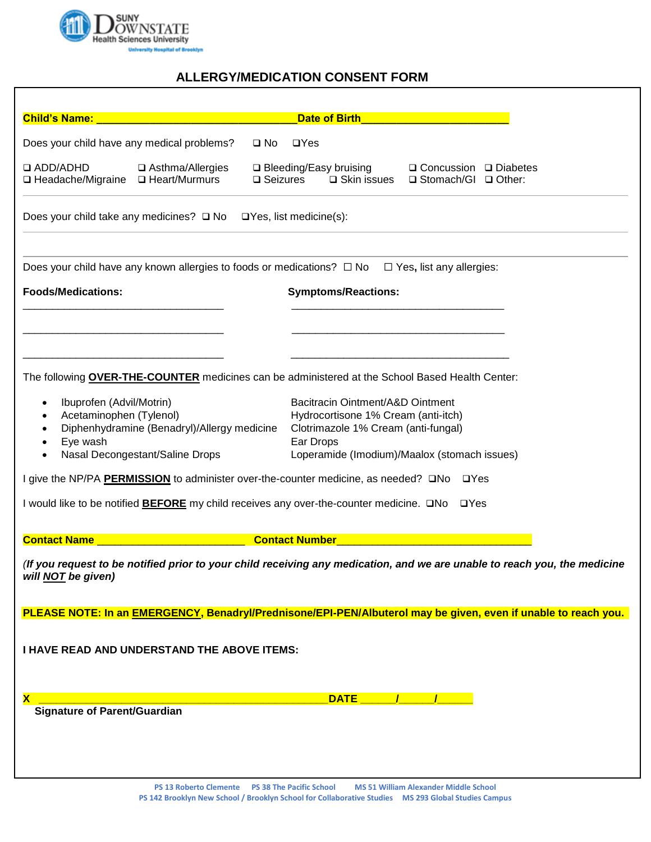

# **ALLERGY/MEDICATION CONSENT FORM**

| <b>Child's Name:</b>                                                                                                                                   |                                             | <b>Date of Birth</b>                                                                                                          |
|--------------------------------------------------------------------------------------------------------------------------------------------------------|---------------------------------------------|-------------------------------------------------------------------------------------------------------------------------------|
| Does your child have any medical problems?                                                                                                             |                                             | $\square$ No<br>$\Box$ Yes                                                                                                    |
| $\Box$ ADD/ADHD<br>□ Headache/Migraine □ Heart/Murmurs                                                                                                 | □ Asthma/Allergies                          | □ Bleeding/Easy bruising<br>$\Box$ Concussion $\Box$ Diabetes<br>$\square$ Seizures<br>□ Skin issues<br>□ Stomach/GI □ Other: |
| Does your child take any medicines? $\Box$ No $\Box$ Yes, list medicine(s):                                                                            |                                             |                                                                                                                               |
| Does your child have any known allergies to foods or medications? $\Box$ No<br>$\Box$ Yes, list any allergies:                                         |                                             |                                                                                                                               |
| <b>Foods/Medications:</b>                                                                                                                              |                                             | <b>Symptoms/Reactions:</b>                                                                                                    |
|                                                                                                                                                        |                                             |                                                                                                                               |
|                                                                                                                                                        |                                             |                                                                                                                               |
|                                                                                                                                                        |                                             | The following <b>OVER-THE-COUNTER</b> medicines can be administered at the School Based Health Center:                        |
| Ibuprofen (Advil/Motrin)<br>$\bullet$                                                                                                                  |                                             | Bacitracin Ointment/A&D Ointment                                                                                              |
| Acetaminophen (Tylenol)<br>$\bullet$<br>$\bullet$                                                                                                      | Diphenhydramine (Benadryl)/Allergy medicine | Hydrocortisone 1% Cream (anti-itch)<br>Clotrimazole 1% Cream (anti-fungal)                                                    |
| Eye wash<br>$\bullet$<br>$\bullet$                                                                                                                     |                                             | Ear Drops<br>Loperamide (Imodium)/Maalox (stomach issues)                                                                     |
| Nasal Decongestant/Saline Drops<br>I give the NP/PA <b>PERMISSION</b> to administer over-the-counter medicine, as needed? <b>QNo</b> QYes              |                                             |                                                                                                                               |
|                                                                                                                                                        |                                             |                                                                                                                               |
| I would like to be notified <b>BEFORE</b> my child receives any over-the-counter medicine. <b>□No</b> □Yes                                             |                                             |                                                                                                                               |
| <b>Contact Name</b>                                                                                                                                    |                                             | <b>Contact Number</b>                                                                                                         |
| (If you request to be notified prior to your child receiving any medication, and we are unable to reach you, the medicine<br>will <b>NOT</b> be given) |                                             |                                                                                                                               |
|                                                                                                                                                        |                                             | PLEASE NOTE: In an EMERGENCY, Benadryl/Prednisone/EPI-PEN/Albuterol may be given, even if unable to reach you.                |
|                                                                                                                                                        |                                             |                                                                                                                               |
| I HAVE READ AND UNDERSTAND THE ABOVE ITEMS:                                                                                                            |                                             |                                                                                                                               |
|                                                                                                                                                        |                                             |                                                                                                                               |
| <b>DATE</b><br>X                                                                                                                                       |                                             |                                                                                                                               |
| <b>Signature of Parent/Guardian</b>                                                                                                                    |                                             |                                                                                                                               |
|                                                                                                                                                        |                                             |                                                                                                                               |
|                                                                                                                                                        |                                             |                                                                                                                               |